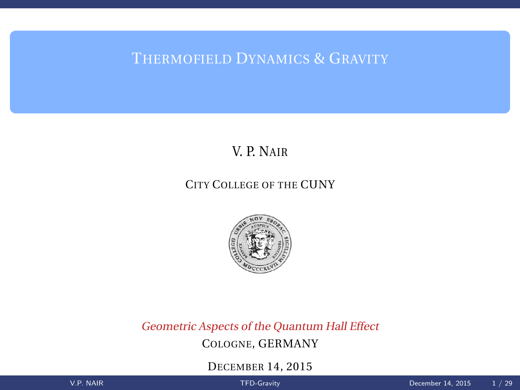<span id="page-0-0"></span>THERMOFIELD DYNAMICS & GRAVITY

# V. P. NAIR

## CITY COLLEGE OF THE CUNY



Geometric Aspects of the Quantum Hall Effect COLOGNE, GERMANY

DECEMBER 14, 2015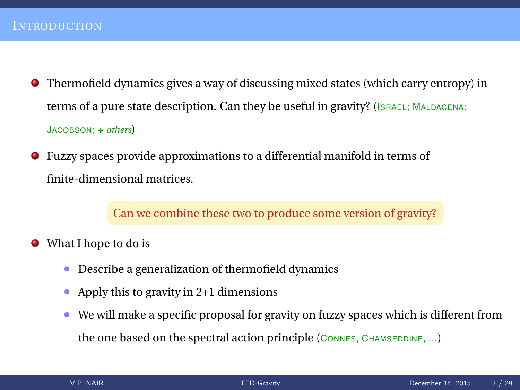- Thermofield dynamics gives a way of discussing mixed states (which carry entropy) in terms of a pure state description. Can they be useful in gravity? (ISRAEL; MALDACENA; JACOBSON; + *others*)
- Fuzzy spaces provide approximations to a differential manifold in terms of О. finite-dimensional matrices.

Can we combine these two to produce some version of gravity?

- What I hope to do is
	- Describe a generalization of thermofield dynamics
	- Apply this to gravity in 2+1 dimensions
	- We will make a specific proposal for gravity on fuzzy spaces which is different from the one based on the spectral action principle (CONNES, CHAMSEDDINE, ...)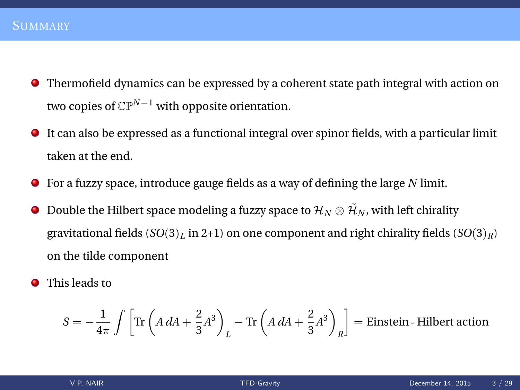- Thermofield dynamics can be expressed by a coherent state path integral with action on two copies of CP*N*−<sup>1</sup> with opposite orientation.
- It can also be expressed as a functional integral over spinor fields, with a particular limit taken at the end.
- For a fuzzy space, introduce gauge fields as a way of defining the large *N* limit.
- Double the Hilbert space modeling a fuzzy space to  $\mathcal{H}_N \otimes \tilde{\mathcal{H}}_N$ , with left chirality . gravitational fields (*SO*(3)*<sup>L</sup>* in 2+1) on one component and right chirality fields (*SO*(3)*R*) on the tilde component
- **O** This leads to

$$
S = -\frac{1}{4\pi} \int \left[ \text{Tr} \left( A \, dA + \frac{2}{3} A^3 \right) \Big|_L - \text{Tr} \left( A \, dA + \frac{2}{3} A^3 \right) \Big|_R \right] = \text{Einstein - Hilbert action}
$$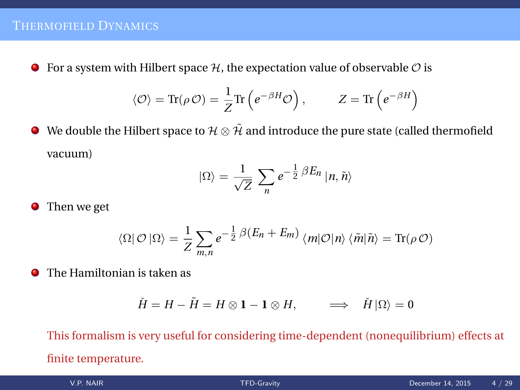$\bullet$  For a system with Hilbert space  $\mathcal{H}$ , the expectation value of observable  $\mathcal O$  is

$$
\langle \mathcal{O} \rangle = \text{Tr}(\rho \mathcal{O}) = \frac{1}{Z} \text{Tr} \left( e^{-\beta H} \mathcal{O} \right), \qquad Z = \text{Tr} \left( e^{-\beta H} \right)
$$

 $\bullet$  We double the Hilbert space to  $\mathcal{H} \otimes \tilde{\mathcal{H}}$  and introduce the pure state (called thermofield vacuum)

$$
|\Omega\rangle = \frac{1}{\sqrt{Z}} \sum_{n} e^{-\frac{1}{2}\beta E_n} |n, \tilde{n}\rangle
$$

**•** Then we get

$$
\langle \Omega | \mathcal{O} | \Omega \rangle = \frac{1}{Z} \sum_{m,n} e^{-\frac{1}{2} \beta (E_n + E_m)} \langle m | \mathcal{O} | n \rangle \langle \tilde{m} | \tilde{n} \rangle = \text{Tr}(\rho \mathcal{O})
$$

The Hamiltonian is taken as

$$
\check{H} = H - \tilde{H} = H \otimes \mathbf{1} - \mathbf{1} \otimes H, \qquad \Longrightarrow \quad \check{H} \left| \Omega \right\rangle = 0
$$

This formalism is very useful for considering time-dependent (nonequilibrium) effects at finite temperature.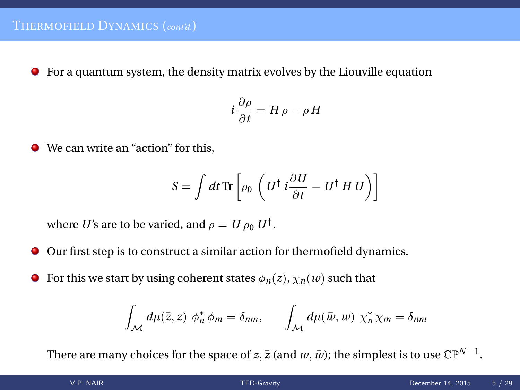For a quantum system, the density matrix evolves by the Liouville equation

$$
i\frac{\partial \rho}{\partial t} = H \rho - \rho H
$$

● We can write an "action" for this.

$$
S = \int dt \,\mathrm{Tr} \left[ \rho_0 \, \left( U^\dagger \, i \frac{\partial U}{\partial t} - U^\dagger \, H \, U \right) \right]
$$

where *U*'s are to be varied, and  $\rho = U \rho_0 U^{\dagger}$ .

- Our first step is to construct a similar action for thermofield dynamics.
- For this we start by using coherent states  $\phi_n(z)$ ,  $\chi_n(w)$  such that  $\bullet$

$$
\int_{\mathcal{M}} d\mu(\bar{z}, z) \phi_n^* \phi_m = \delta_{nm}, \qquad \int_{\mathcal{M}} d\mu(\bar{w}, w) \chi_n^* \chi_m = \delta_{nm}
$$

There are many choices for the space of *z*,  $\bar{z}$  (and  $w, \bar{w}$ ); the simplest is to use CP<sup>N−1</sup>.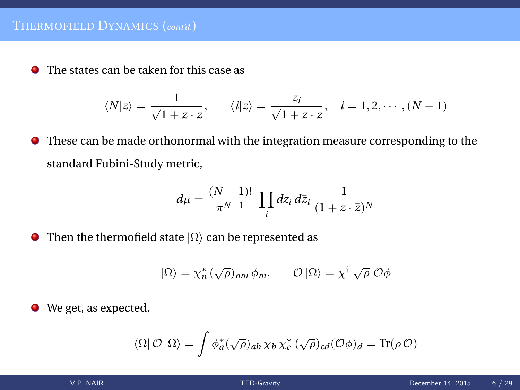The states can be taken for this case as

$$
\langle N|z\rangle = \frac{1}{\sqrt{1+\overline{z}\cdot z}}, \qquad \langle i|z\rangle = \frac{z_i}{\sqrt{1+\overline{z}\cdot z}}, \quad i=1,2,\cdots, (N-1)
$$

These can be made orthonormal with the integration measure corresponding to the standard Fubini-Study metric,

$$
d\mu = \frac{(N-1)!}{\pi^{N-1}} \prod_i dz_i \, d\bar{z}_i \, \frac{1}{(1+z \cdot \bar{z})^N}
$$

• Then the thermofield state  $|\Omega\rangle$  can be represented as

$$
|\Omega\rangle = \chi_n^* (\sqrt{\rho})_{nm} \phi_m, \qquad \mathcal{O} |\Omega\rangle = \chi^{\dagger} \sqrt{\rho} \mathcal{O} \phi
$$

We get, as expected,

$$
\langle \Omega | \mathcal{O} | \Omega \rangle = \int \phi_a^* (\sqrt{\rho})_{ab} \, \chi_b \, \chi_c^* (\sqrt{\rho})_{cd} (\mathcal{O} \phi)_d = \text{Tr}(\rho \, \mathcal{O})
$$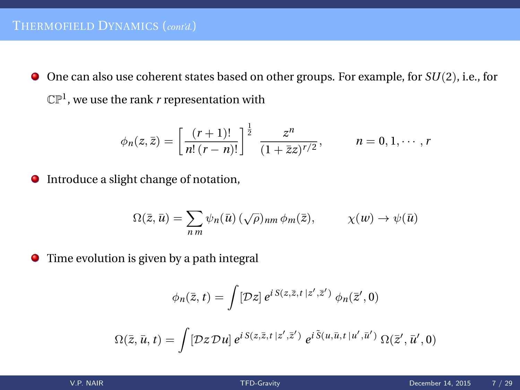One can also use coherent states based on other groups. For example, for *SU*(2), i.e., for  $\mathbb{CP}^1$ , we use the rank  $r$  representation with

$$
\phi_n(z,\bar{z}) = \left[\frac{(r+1)!}{n!(r-n)!}\right]^{\frac{1}{2}} \frac{z^n}{(1+\bar{z}z)^{r/2}}, \qquad n = 0, 1, \cdots, r
$$

Introduce a slight change of notation,

$$
\Omega(\bar{z}, \bar{u}) = \sum_{nm} \psi_n(\bar{u}) (\sqrt{\rho})_{nm} \phi_m(\bar{z}), \qquad \chi(w) \to \psi(\bar{u})
$$

Time evolution is given by a path integral

$$
\phi_n(\bar{z},t) = \int [\mathcal{D}z] e^{i S(z,\bar{z},t|z',\bar{z}')} \phi_n(\bar{z}',0)
$$
  

$$
\Omega(\bar{z},\bar{u},t) = \int [\mathcal{D}z \mathcal{D}u] e^{i S(z,\bar{z},t|z',\bar{z}')} e^{i \tilde{S}(u,\bar{u},t|u',\bar{u}')} \Omega(\bar{z}',\bar{u}',0)
$$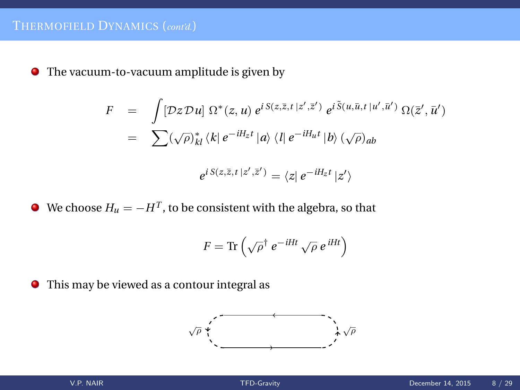The vacuum-to-vacuum amplitude is given by

$$
F = \int [\mathcal{D}z \mathcal{D}u] \ \Omega^*(z, u) \ e^{i \mathcal{S}(z, \bar{z}, t \, |z', \bar{z}')} \ e^{i \tilde{\mathcal{S}}(u, \bar{u}, t \, |u', \bar{u}')} \ \Omega(\bar{z}', \bar{u}')
$$
  

$$
= \sum (\sqrt{\rho})_{kl}^* \ \langle k| \ e^{-iH_z t} \ |a \rangle \ \langle l| \ e^{-iH_u t} \ |b \rangle \ (\sqrt{\rho})_{ab}
$$
  

$$
e^{i \mathcal{S}(z, \bar{z}, t \, |z', \bar{z}')} = \langle z| \ e^{-iH_z t} \ |z' \rangle
$$

We choose  $H_u = -H^T$ , to be consistent with the algebra, so that

$$
F = \text{Tr}\left(\sqrt{\rho}^{\dagger} e^{-iHt} \sqrt{\rho} e^{iHt}\right)
$$

This may be viewed as a contour integral as

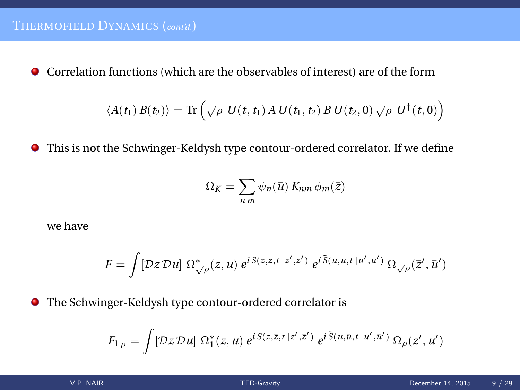Correlation functions (which are the observables of interest) are of the form

$$
\langle A(t_1) B(t_2) \rangle = \text{Tr} \left( \sqrt{\rho} \ U(t, t_1) A \ U(t_1, t_2) B \ U(t_2, 0) \sqrt{\rho} \ U^{\dagger}(t, 0) \right)
$$

This is not the Schwinger-Keldysh type contour-ordered correlator. If we define

$$
\Omega_K = \sum_{nm} \psi_n(\bar{u}) \, K_{nm} \, \phi_m(\bar{z})
$$

we have

$$
F = \int [\mathcal{D}z \mathcal{D}u] \; \Omega_{\sqrt{\rho}}^*(z, u) \; e^{i \, S(z, \bar{z}, t \, |z', \bar{z}')}\; e^{i \, \tilde{S}(u, \bar{u}, t \, |u', \bar{u}')}\; \Omega_{\sqrt{\rho}}(\bar{z}', \bar{u}')
$$

The Schwinger-Keldysh type contour-ordered correlator is

$$
F_{1\rho} = \int [\mathcal{D}z \mathcal{D}u] \; \Omega^*_{1}(z,u) \; e^{i \mathcal{S}(z,\bar{z},t\,|z',\bar{z}')} \; e^{i \tilde{\mathcal{S}}(u,\bar{u},t\,|u',\bar{u}')}\, \Omega_{\rho}(\bar{z}',\bar{u}')
$$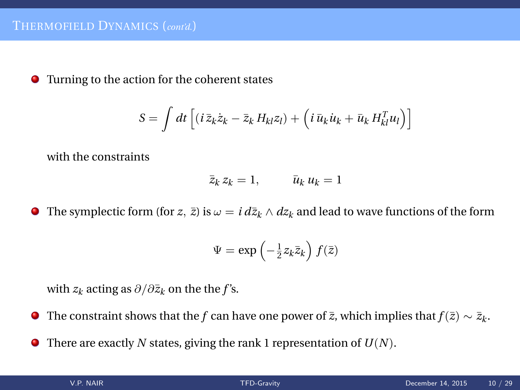Turning to the action for the coherent states

$$
S = \int dt \left[ (i \bar{z}_k \dot{z}_k - \bar{z}_k H_{kl} z_l) + \left( i \bar{u}_k \dot{u}_k + \bar{u}_k H_{kl}^T u_l \right) \right]
$$

with the constraints

$$
\bar{z}_k z_k = 1, \qquad \bar{u}_k u_k = 1
$$

**●** The symplectic form (for *z*,  $\bar{z}$ ) is  $\omega = i d\bar{z}_k \wedge dz_k$  and lead to wave functions of the form

$$
\Psi = \exp\left(-\frac{1}{2}z_k\overline{z}_k\right)f(\overline{z})
$$

with  $z_k$  acting as  $\partial/\partial \bar{z}_k$  on the the *f*'s.

- The constraint shows that the *f* can have one power of  $\bar{z}$ , which implies that  $f(\bar{z}) \sim \bar{z}_k$ .
- There are exactly *N* states, giving the rank 1 representation of *U*(*N*).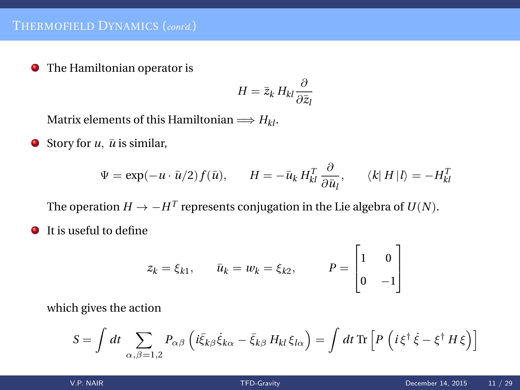**•** The Hamiltonian operator is

$$
H = \bar{z}_k H_{kl} \frac{\partial}{\partial \bar{z}_l}
$$

Matrix elements of this Hamiltonian  $\Longrightarrow$   $H_{kl}$ .

 $\bullet$  Story for *u*,  $\bar{u}$  is similar,

$$
\Psi = \exp(-u \cdot \bar{u}/2) f(\bar{u}), \qquad H = -\bar{u}_k H_{kl}^T \frac{\partial}{\partial \bar{u}_l}, \qquad \langle k | H | l \rangle = -H_{kl}^T
$$

The operation  $H \to -H^T$  represents conjugation in the Lie algebra of  $U(N)$ .

**It is useful to define** 

$$
z_k = \xi_{k1}, \qquad \bar{u}_k = w_k = \xi_{k2}, \qquad P = \begin{bmatrix} 1 & 0 \\ 0 & -1 \end{bmatrix}
$$

which gives the action

$$
S = \int dt \sum_{\alpha,\beta=1,2} P_{\alpha\beta} \left( i \bar{\xi}_{k\beta} \dot{\xi}_{k\alpha} - \bar{\xi}_{k\beta} H_{kl} \xi_{l\alpha} \right) = \int dt \,\text{Tr} \left[ P \left( i \xi^{\dagger} \dot{\xi} - \xi^{\dagger} H \xi \right) \right]
$$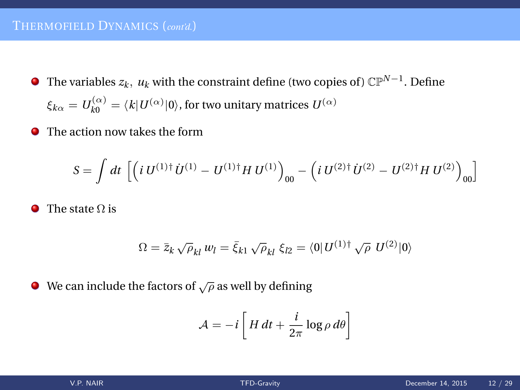### THERMOFIELD DYNAMICS (*cont'd.*)

- The variables  $z_k$ ,  $u_k$  with the constraint define (two copies of)  $\mathbb{CP}^{N-1}$ . Define  $\xi_{k\alpha}=U_{k0}^{(\alpha)}=\langle k|U^{(\alpha)}|0\rangle,$  for two unitary matrices  $U^{(\alpha)}$
- The action now takes the form

$$
S = \int dt \, \left[ \left( i \, U^{(1)\dagger} \, U^{(1)} - U^{(1)\dagger} H \, U^{(1)} \right)_{00} - \left( i \, U^{(2)\dagger} \, U^{(2)} - U^{(2)\dagger} H \, U^{(2)} \right)_{00} \right]
$$

 $\bullet$  The state  $\Omega$  is

$$
\Omega = \bar{z}_k \sqrt{\rho_{kl}} w_l = \bar{\xi}_{k1} \sqrt{\rho_{kl}} \xi_{l2} = \langle 0 | U^{(1) \dagger} \sqrt{\rho} U^{(2)} | 0 \rangle
$$

 $\bullet$  We can include the factors of  $\sqrt{\rho}$  as well by defining

$$
\mathcal{A} = -i \left[ H dt + \frac{i}{2\pi} \log \rho d\theta \right]
$$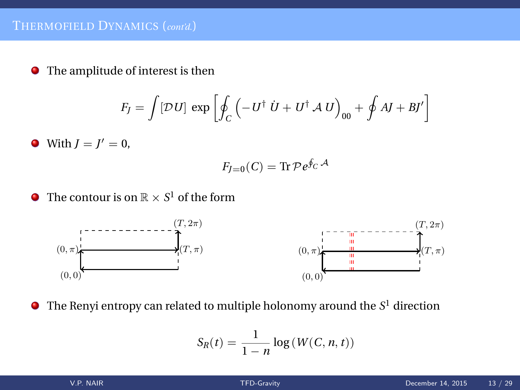The amplitude of interest is then

$$
F_J = \int [\mathcal{D}U] \, \exp\left[\oint_C \left(-U^\dagger \, \dot{U} + U^\dagger \, \mathcal{A} \, U\right)_{00} + \oint A J + B \, I'\right]
$$

With  $J = J' = 0$ ,

$$
F_{J=0}(C) = \text{Tr}\,\mathcal{P}e^{\oint_C \mathcal{A}}
$$

The contour is on  $\mathbb{R} \times S^1$  of the form



The Renyi entropy can related to multiple holonomy around the  $S^1$  direction

$$
S_R(t) = \frac{1}{1-n} \log(W(C, n, t))
$$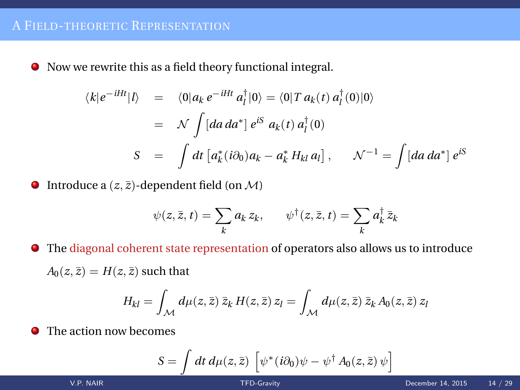Now we rewrite this as a field theory functional integral.

$$
\langle k|e^{-iHt}|l\rangle = \langle 0|a_k e^{-iHt} a_l^{\dagger} |0\rangle = \langle 0|T a_k(t) a_l^{\dagger} (0) |0\rangle
$$
  

$$
= \mathcal{N} \int [da \, da^*] e^{iS} a_k(t) a_l^{\dagger} (0)
$$
  

$$
S = \int dt \left[ a_k^* (i\partial_0) a_k - a_k^* H_{kl} a_l \right], \qquad \mathcal{N}^{-1} = \int [da \, da^*] e^{iS}
$$

 $\bullet$  Introduce a  $(z, \bar{z})$ -dependent field (on M)

$$
\psi(z,\bar{z},t) = \sum_{k} a_k z_k, \qquad \psi^{\dagger}(z,\bar{z},t) = \sum_{k} a_k^{\dagger} \bar{z}_k
$$

The diagonal coherent state representation of operators also allows us to introduce

 $A_0(z, \bar{z}) = H(z, \bar{z})$  such that

$$
H_{kl} = \int_{\mathcal{M}} d\mu(z,\bar{z}) \,\bar{z}_k \, H(z,\bar{z}) \, z_l = \int_{\mathcal{M}} d\mu(z,\bar{z}) \,\bar{z}_k \, A_0(z,\bar{z}) \, z_l
$$

 $\bullet$ The action now becomes

$$
S = \int dt \, d\mu(z, \bar{z}) \, \left[ \psi^*(i\partial_0)\psi - \psi^\dagger A_0(z, \bar{z}) \psi \right]
$$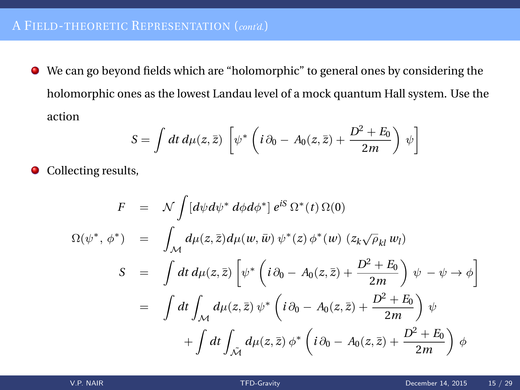We can go beyond fields which are "holomorphic" to general ones by considering the holomorphic ones as the lowest Landau level of a mock quantum Hall system. Use the action

$$
S = \int dt \, d\mu(z, \bar{z}) \left[ \psi^* \left( i \partial_0 - A_0(z, \bar{z}) + \frac{D^2 + E_0}{2m} \right) \psi \right]
$$

• Collecting results,

$$
F = \mathcal{N} \int [d\psi d\psi^* d\phi d\phi^*] e^{iS} \Omega^*(t) \Omega(0)
$$
  

$$
\Omega(\psi^*, \phi^*) = \int_{\mathcal{M}} d\mu(z, \bar{z}) d\mu(w, \bar{w}) \psi^*(z) \phi^*(w) (z_k \sqrt{\rho_{kl}} w_l)
$$
  

$$
S = \int dt d\mu(z, \bar{z}) \left[ \psi^* \left( i \partial_0 - A_0(z, \bar{z}) + \frac{D^2 + E_0}{2m} \right) \psi - \psi \to \phi \right]
$$
  

$$
= \int dt \int_{\mathcal{M}} d\mu(z, \bar{z}) \psi^* \left( i \partial_0 - A_0(z, \bar{z}) + \frac{D^2 + E_0}{2m} \right) \psi
$$
  

$$
+ \int dt \int_{\tilde{\mathcal{M}}} d\mu(z, \bar{z}) \phi^* \left( i \partial_0 - A_0(z, \bar{z}) + \frac{D^2 + E_0}{2m} \right) \phi
$$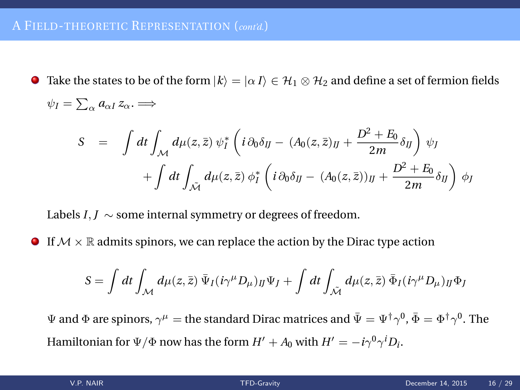**Take the states to be of the form**  $|k\rangle = |\alpha I\rangle \in \mathcal{H}_1 \otimes \mathcal{H}_2$  **and define a set of fermion fields** 

$$
\psi_I = \sum_{\alpha} a_{\alpha I} z_{\alpha} \implies
$$
\n
$$
S = \int dt \int_{\mathcal{M}} d\mu(z, \bar{z}) \psi_I^* \left( i \partial_0 \delta_{IJ} - (A_0(z, \bar{z})_{IJ} + \frac{D^2 + E_0}{2m} \delta_{IJ} \right) \psi_I
$$
\n
$$
+ \int dt \int_{\tilde{\mathcal{M}}} d\mu(z, \bar{z}) \phi_I^* \left( i \partial_0 \delta_{IJ} - (A_0(z, \bar{z}))_{IJ} + \frac{D^2 + E_0}{2m} \delta_{IJ} \right) \phi_I
$$

Labels *I*, *J*  $\sim$  some internal symmetry or degrees of freedom.

**If**  $M \times \mathbb{R}$  admits spinors, we can replace the action by the Dirac type action

$$
S=\int dt\int_{\mathcal{M}}d\mu(z,\bar{z})\,\bar{\Psi}_I(i\gamma^\mu D_\mu)_{IJ}\Psi_J+\int dt\int_{\tilde{\mathcal{M}}}d\mu(z,\bar{z})\,\bar{\Phi}_I(i\gamma^\mu D_\mu)_{IJ}\Phi_J
$$

 $\Psi$  and  $\Phi$  are spinors,  $\gamma^\mu=$  the standard Dirac matrices and  $\bar\Psi=\Psi^\dagger\gamma^0$ ,  $\bar\Phi=\Phi^\dagger\gamma^0$ . The Hamiltonian for  $\Psi/\Phi$  now has the form  $H' + A_0$  with  $H' = -i\gamma^0\gamma^iD_i$ .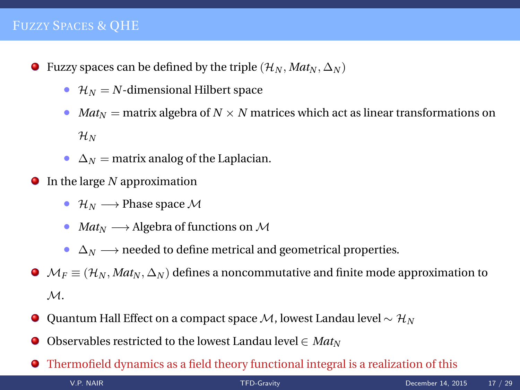### FUZZY SPACES & QHE

- **O** Fuzzy spaces can be defined by the triple  $(\mathcal{H}_N, Mat_N, \Delta_N)$ 
	- $\mathcal{H}_N = N$ -dimensional Hilbert space
	- *Mat*<sub>*N*</sub> = matrix algebra of  $N \times N$  matrices which act as linear transformations on  $\mathcal{H}_N$
	- $\Delta_N$  = matrix analog of the Laplacian.
- In the large *N* approximation
	- $\mathcal{H}_N \longrightarrow$  Phase space M
	- *Mat<sup>N</sup>* −→ Algebra of functions on <sup>M</sup>
	- $\Delta_N \longrightarrow$  needed to define metrical and geometrical properties.
- $\bullet$   $\mathcal{M}_F \equiv (\mathcal{H}_N, Mat_N, \Delta_N)$  defines a noncommutative and finite mode approximation to M.
- Quantum Hall Effect on a compact space M, lowest Landau level ∼ H*<sup>N</sup>*
- . Observables restricted to the lowest Landau level  $\in Mat_N$
- Thermofield dynamics as a field theory functional integral is a realization of this V.P. NAIR [TFD-Gravity](#page-0-0) December 14, 2015 17 / 29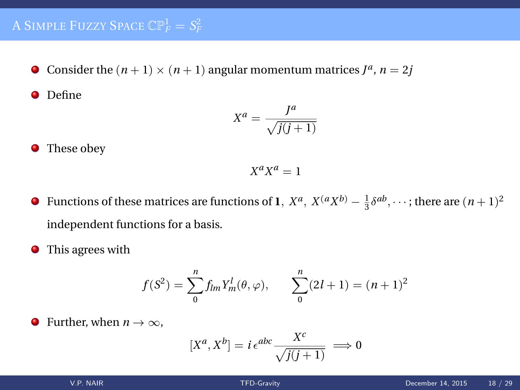Consider the  $(n + 1) \times (n + 1)$  angular momentum matrices  $J^a$ ,  $n = 2j$ 

**O** Define

$$
X^a = \frac{J^a}{\sqrt{j(j+1)}}
$$

• These obey

$$
X^a X^a = 1
$$

- Functions of these matrices are functions of **1**,  $X^a$ ,  $X^{\left(a}X^{b\right)} \frac{1}{3}\delta^{ab}$ ,  $\cdots$ ; there are  $(n+1)^2$ independent functions for a basis.
- ۰ This agrees with

$$
f(S2) = \sum_{0}^{n} f_{lm} Y_{m}^{l}(\theta, \varphi), \qquad \sum_{0}^{n} (2l+1) = (n+1)^{2}
$$

• Further, when 
$$
n \to \infty
$$
,

$$
[X^a, X^b] = i \,\epsilon^{abc} \frac{X^c}{\sqrt{j(j+1)}} \implies 0
$$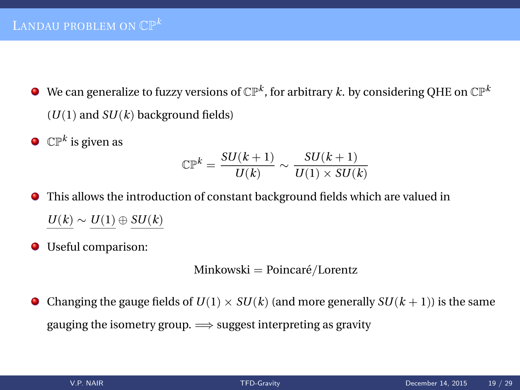- We can generalize to fuzzy versions of  $\mathbb{CP}^k$ , for arbitrary  $k.$  by considering QHE on  $\mathbb{CP}^k$  $(U(1)$  and  $SU(k)$  background fields)
- $\mathbb{CP}^k$  is given as

$$
\mathbb{CP}^k = \frac{SU(k+1)}{U(k)} \sim \frac{SU(k+1)}{U(1) \times SU(k)}
$$

- This allows the introduction of constant background fields which are valued in *U*(*k*) ∼ *U*(1) ⊕ *SU*(*k*)
- Useful comparison:

Minkowski = Poincaré/Lorentz

• Changing the gauge fields of  $U(1) \times SU(k)$  (and more generally  $SU(k+1)$ ) is the same gauging the isometry group.  $\Longrightarrow$  suggest interpreting as gravity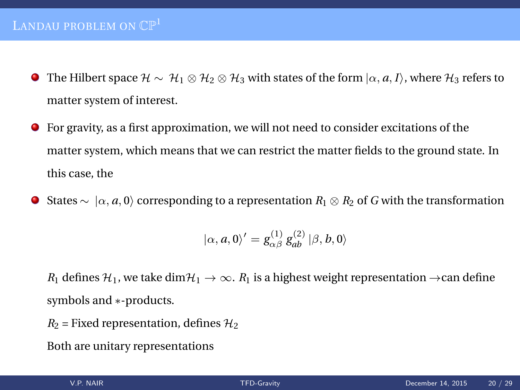## LANDAU PROBLEM ON  $\mathbb{CP}^1$

- **■** The Hilbert space  $H \sim H_1 \otimes H_2 \otimes H_3$  with states of the form  $\vert \alpha, a, I \rangle$ , where  $H_3$  refers to matter system of interest.
- For gravity, as a first approximation, we will not need to consider excitations of the . matter system, which means that we can restrict the matter fields to the ground state. In this case, the
- **O** States ∼  $\vert \alpha, a, 0 \rangle$  corresponding to a representation  $R_1 \otimes R_2$  of *G* with the transformation

$$
|\alpha, a, 0\rangle' = g_{\alpha\beta}^{(1)} g_{ab}^{(2)} | \beta, b, 0 \rangle
$$

*R*<sub>1</sub> defines  $\mathcal{H}_1$ , we take dim $\mathcal{H}_1 \to \infty$ . *R*<sub>1</sub> is a highest weight representation  $\to$ can define symbols and ∗-products.

 $R_2$  = Fixed representation, defines  $H_2$ 

Both are unitary representations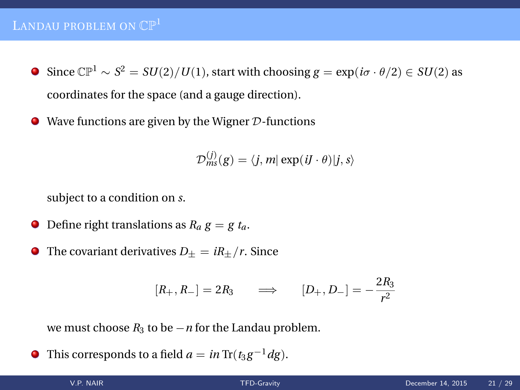# LANDAU PROBLEM ON  $\mathbb{CP}^1$

- Since  $\mathbb{CP}^1$  ∼  $S^2 = SU(2)/U(1)$ , start with choosing  $g = \exp(i\sigma \cdot \theta/2) \in SU(2)$  as coordinates for the space (and a gauge direction).
- $\bullet$  Wave functions are given by the Wigner  $\mathcal D$ -functions

$$
\mathcal{D}_{ms}^{(j)}(g) = \langle j, m | \exp(iJ \cdot \theta) | j, s \rangle
$$

subject to a condition on *s*.

- $\bullet$  Define right translations as  $R_a g = g t_a$ .
- **O** The covariant derivatives  $D_{\pm} = iR_{\pm}/r$ . Since

$$
[R_+, R_-] = 2R_3 \qquad \Longrightarrow \qquad [D_+, D_-] = -\frac{2R_3}{r^2}
$$

we must choose  $R_3$  to be  $-n$  for the Landau problem.

This corresponds to a field  $a = in \text{Tr}(t_3 g^{-1} dg)$ .  $\bullet$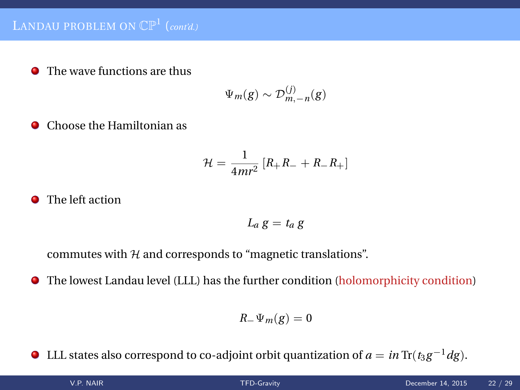**O** The wave functions are thus

$$
\Psi_m(g) \sim \mathcal{D}_{m,-n}^{(j)}(g)
$$

**O** Choose the Hamiltonian as

$$
\mathcal{H} = \frac{1}{4mr^2} \left[ R_+R_- + R_-R_+ \right]
$$

### **•** The left action

$$
L_a\,g = t_a\,g
$$

commutes with  $H$  and corresponds to "magnetic translations".

The lowest Landau level (LLL) has the further condition (holomorphicity condition) ۰

$$
R_-\Psi_m(g)=0
$$

 $\bullet$  LLL states also correspond to co-adjoint orbit quantization of *a* = *in* Tr( $t_3 g^{-1} dg$ ).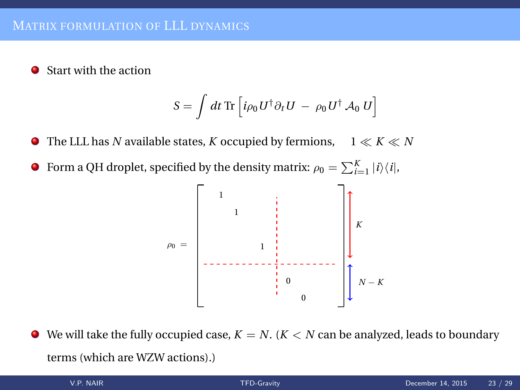Start with the action ۰

$$
S = \int dt \,\text{Tr} \left[ i \rho_0 U^\dagger \partial_t U \,-\, \rho_0 U^\dagger \, \mathcal{A}_0 \, U \right]
$$

The LLL has *N* available states, *K* occupied by fermions,  $1 \ll K \ll N$ .

Form a QH droplet, specified by the density matrix:  $\rho_0 = \sum_{i=1}^{K} |i\rangle\langle i|$ , .



We will take the fully occupied case,  $K = N$ . ( $K < N$  can be analyzed, leads to boundary . terms (which are WZW actions).)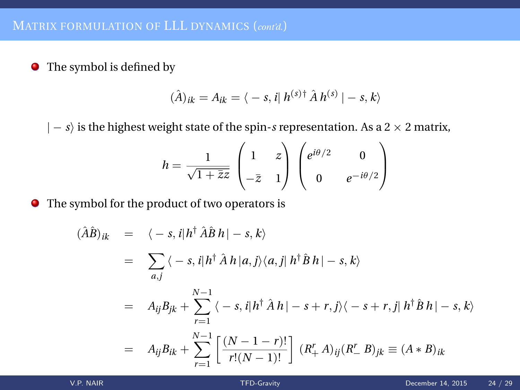$\bullet$  The symbol is defined by

$$
(\hat{A})_{ik} = A_{ik} = \langle -s, i | h^{(s)\dagger} \hat{A} h^{(s)} | -s, k \rangle
$$

| − *s*i is the highest weight state of the spin-*s* representation. As a 2 × 2 matrix,

$$
h = \frac{1}{\sqrt{1 + \bar{z}z}} \begin{pmatrix} 1 & z \\ -\bar{z} & 1 \end{pmatrix} \begin{pmatrix} e^{i\theta/2} & 0 \\ 0 & e^{-i\theta/2} \end{pmatrix}
$$

The symbol for the product of two operators is

$$
(\hat{A}\hat{B})_{ik} = \langle -s, i | h^{\dagger} \hat{A}\hat{B} h | -s, k \rangle
$$
  
\n
$$
= \sum_{a,j} \langle -s, i | h^{\dagger} \hat{A} h | a, j \rangle \langle a, j | h^{\dagger} \hat{B} h | -s, k \rangle
$$
  
\n
$$
= A_{ij} B_{jk} + \sum_{r=1}^{N-1} \langle -s, i | h^{\dagger} \hat{A} h | -s+r, j \rangle \langle -s+r, j | h^{\dagger} \hat{B} h | -s, k \rangle
$$
  
\n
$$
= A_{ij} B_{ik} + \sum_{r=1}^{N-1} \left[ \frac{(N-1-r)!}{r!(N-1)!} \right] (R_{+}^{r} A)_{ij} (R_{-}^{r} B)_{jk} \equiv (A * B)_{ik}
$$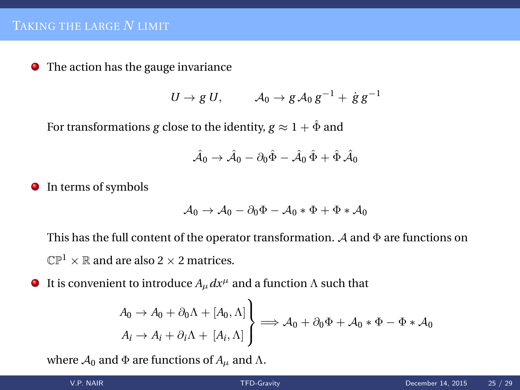**•** The action has the gauge invariance

$$
U \to g U, \qquad \mathcal{A}_0 \to g \mathcal{A}_0 g^{-1} + \dot{g} g^{-1}
$$

For transformations *g* close to the identity,  $g \approx 1 + \hat{\Phi}$  and

$$
\hat{\mathcal{A}}_0 \to \hat{\mathcal{A}}_0 - \partial_0 \hat{\Phi} - \hat{\mathcal{A}}_0 \hat{\Phi} + \hat{\Phi} \hat{\mathcal{A}}_0
$$

**I**n terms of symbols

$$
A_0 \rightarrow A_0 - \partial_0 \Phi - A_0 * \Phi + \Phi * A_0
$$

This has the full content of the operator transformation.  $\mathcal A$  and  $\Phi$  are functions on  $\mathbb{CP}^1 \times \mathbb{R}$  and are also 2  $\times$  2 matrices.

It is convenient to introduce  $A_\mu dx^\mu$  and a function  $\Lambda$  such that ۰

$$
\begin{aligned}\nA_0 &\to A_0 + \partial_0 \Lambda + [A_0, \Lambda] \\
A_i &\to A_i + \partial_i \Lambda + [A_i, \Lambda]\n\end{aligned}\n\right\} \Longrightarrow \mathcal{A}_0 + \partial_0 \Phi + \mathcal{A}_0 * \Phi - \Phi * \mathcal{A}_0
$$

where  $A_0$  and  $\Phi$  are functions of  $A_\mu$  and  $\Lambda$ .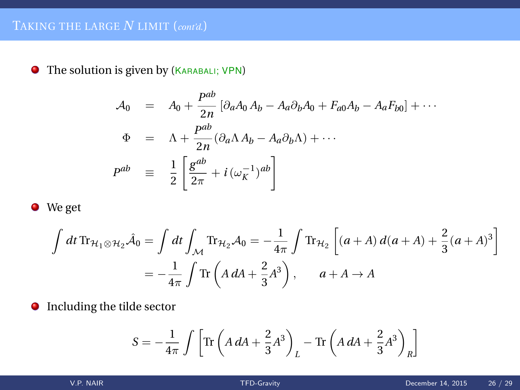The solution is given by (KARABALI; VPN)

$$
A_0 = A_0 + \frac{P^{ab}}{2n} \left[ \partial_a A_0 A_b - A_a \partial_b A_0 + F_{a0} A_b - A_a F_{b0} \right] + \cdots
$$
  
\n
$$
\Phi = \Lambda + \frac{P^{ab}}{2n} (\partial_a \Lambda A_b - A_a \partial_b \Lambda) + \cdots
$$
  
\n
$$
P^{ab} \equiv \frac{1}{2} \left[ \frac{g^{ab}}{2\pi} + i (\omega_k^{-1})^{ab} \right]
$$

 $\bullet$  We get

$$
\int dt \operatorname{Tr}_{\mathcal{H}_1 \otimes \mathcal{H}_2} \hat{\mathcal{A}}_0 = \int dt \int_{\mathcal{M}} \operatorname{Tr}_{\mathcal{H}_2} \mathcal{A}_0 = -\frac{1}{4\pi} \int \operatorname{Tr}_{\mathcal{H}_2} \left[ (a+A) d(a+A) + \frac{2}{3} (a+A)^3 \right]
$$

$$
= -\frac{1}{4\pi} \int \operatorname{Tr} \left( A dA + \frac{2}{3} A^3 \right), \qquad a+A \to A
$$

Including the tilde sector

$$
S = -\frac{1}{4\pi} \int \left[ \text{Tr} \left( A \, dA + \frac{2}{3} A^3 \right)_L - \text{Tr} \left( A \, dA + \frac{2}{3} A^3 \right)_R \right]
$$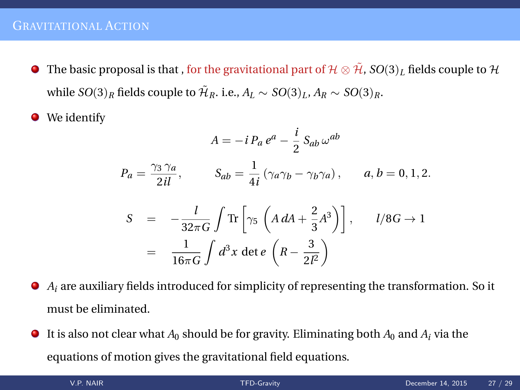- $\bullet$  The basic proposal is that , for the gravitational part of  $\mathcal{H} \otimes \tilde{\mathcal{H}}$ ,  $SO(3)_L$  fields couple to  $\mathcal{H}$ while  $SO(3)_R$  fields couple to  $\tilde{\mathcal{H}}_R$ . i.e.,  $A_L \sim SO(3)_L$ ,  $A_R \sim SO(3)_R$ .
- We identify .

$$
A = -i P_a e^a - \frac{i}{2} S_{ab} \omega^{ab}
$$
  
\n
$$
P_a = \frac{\gamma_3 \gamma_a}{2il}, \qquad S_{ab} = \frac{1}{4i} (\gamma_a \gamma_b - \gamma_b \gamma_a), \qquad a, b = 0, 1, 2.
$$
  
\n
$$
S = -\frac{l}{32\pi G} \int \text{Tr} \left[ \gamma_5 \left( A dA + \frac{2}{3} A^3 \right) \right], \qquad l/8G \to 1
$$

$$
S = -\frac{i}{32\pi G} \int \text{Tr} \left[ \gamma_5 \left( A dA + \frac{2}{3} A^3 \right) \right], \qquad l/8G \to 1
$$

$$
= \frac{1}{16\pi G} \int d^3 x \det e \left( R - \frac{3}{2l^2} \right)
$$

- *A<sup>i</sup>* are auxiliary fields introduced for simplicity of representing the transformation. So it must be eliminated.
- It is also not clear what  $A_0$  should be for gravity. Eliminating both  $A_0$  and  $A_i$  via the . equations of motion gives the gravitational field equations.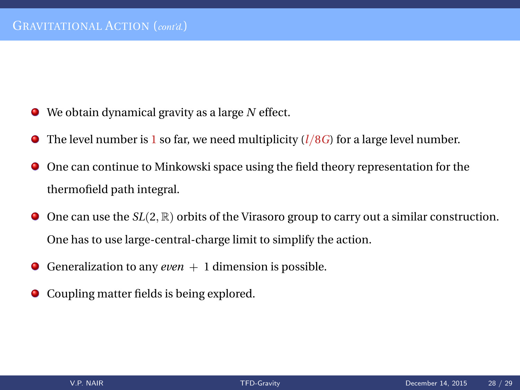- We obtain dynamical gravity as a large *N* effect.
- The level number is 1 so far, we need multiplicity (*l*/8*G*) for a large level number.
- One can continue to Minkowski space using the field theory representation for the thermofield path integral.
- One can use the *SL*(2, ℝ) orbits of the Virasoro group to carry out a similar construction. One has to use large-central-charge limit to simplify the action.
- Generalization to any *even*  $+1$  dimension is possible.
- Coupling matter fields is being explored.